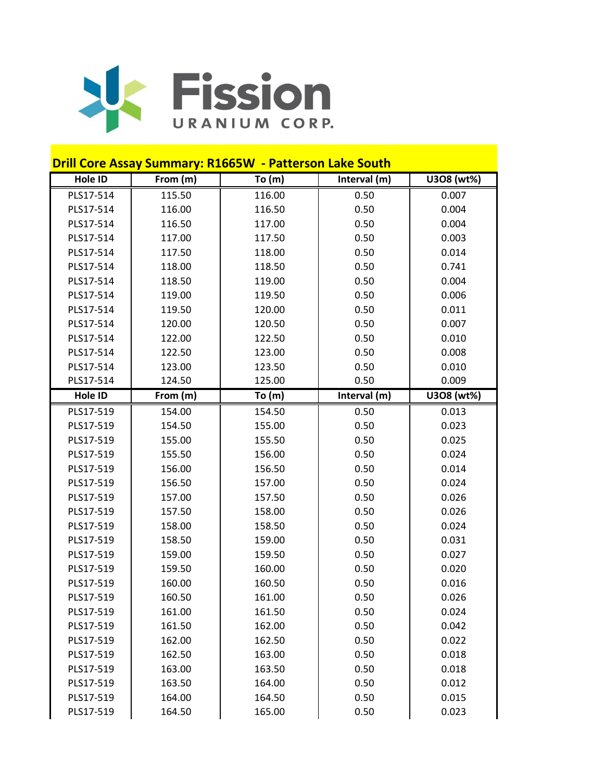

| <b>Drill Core Assay Summary: R1665W - Patterson Lake South</b> |          |          |              |            |  |  |
|----------------------------------------------------------------|----------|----------|--------------|------------|--|--|
| Hole ID                                                        | From (m) | To $(m)$ | Interval (m) | U308 (wt%) |  |  |
| PLS17-514                                                      | 115.50   | 116.00   | 0.50         | 0.007      |  |  |
| PLS17-514                                                      | 116.00   | 116.50   | 0.50         | 0.004      |  |  |
| PLS17-514                                                      | 116.50   | 117.00   | 0.50         | 0.004      |  |  |
| PLS17-514                                                      | 117.00   | 117.50   | 0.50         | 0.003      |  |  |
| PLS17-514                                                      | 117.50   | 118.00   | 0.50         | 0.014      |  |  |
| PLS17-514                                                      | 118.00   | 118.50   | 0.50         | 0.741      |  |  |
| PLS17-514                                                      | 118.50   | 119.00   | 0.50         | 0.004      |  |  |
| PLS17-514                                                      | 119.00   | 119.50   | 0.50         | 0.006      |  |  |
| PLS17-514                                                      | 119.50   | 120.00   | 0.50         | 0.011      |  |  |
| PLS17-514                                                      | 120.00   | 120.50   | 0.50         | 0.007      |  |  |
| PLS17-514                                                      | 122.00   | 122.50   | 0.50         | 0.010      |  |  |
| PLS17-514                                                      | 122.50   | 123.00   | 0.50         | 0.008      |  |  |
| PLS17-514                                                      | 123.00   | 123.50   | 0.50         | 0.010      |  |  |
| PLS17-514                                                      | 124.50   | 125.00   | 0.50         | 0.009      |  |  |
| Hole ID                                                        | From (m) | To(m)    | Interval (m) | U308 (wt%) |  |  |
| PLS17-519                                                      | 154.00   | 154.50   | 0.50         | 0.013      |  |  |
| PLS17-519                                                      | 154.50   | 155.00   | 0.50         | 0.023      |  |  |
| PLS17-519                                                      | 155.00   | 155.50   | 0.50         | 0.025      |  |  |
| PLS17-519                                                      | 155.50   | 156.00   | 0.50         | 0.024      |  |  |
| PLS17-519                                                      | 156.00   | 156.50   | 0.50         | 0.014      |  |  |
| PLS17-519                                                      | 156.50   | 157.00   | 0.50         | 0.024      |  |  |
| PLS17-519                                                      | 157.00   | 157.50   | 0.50         | 0.026      |  |  |
| PLS17-519                                                      | 157.50   | 158.00   | 0.50         | 0.026      |  |  |
| PLS17-519                                                      | 158.00   | 158.50   | 0.50         | 0.024      |  |  |
| PLS17-519                                                      | 158.50   | 159.00   | 0.50         | 0.031      |  |  |
| PLS17-519                                                      | 159.00   | 159.50   | 0.50         | 0.027      |  |  |
| PLS17-519                                                      | 159.50   | 160.00   | 0.50         | 0.020      |  |  |
| PLS17-519                                                      | 160.00   | 160.50   | 0.50         | 0.016      |  |  |
| PLS17-519                                                      | 160.50   | 161.00   | 0.50         | 0.026      |  |  |
| PLS17-519                                                      | 161.00   | 161.50   | 0.50         | 0.024      |  |  |
| PLS17-519                                                      | 161.50   | 162.00   | 0.50         | 0.042      |  |  |
| PLS17-519                                                      | 162.00   | 162.50   | 0.50         | 0.022      |  |  |
| PLS17-519                                                      | 162.50   | 163.00   | 0.50         | 0.018      |  |  |
| PLS17-519                                                      | 163.00   | 163.50   | 0.50         | 0.018      |  |  |
| PLS17-519                                                      | 163.50   | 164.00   | 0.50         | 0.012      |  |  |
| PLS17-519                                                      | 164.00   | 164.50   | 0.50         | 0.015      |  |  |
| PLS17-519                                                      | 164.50   | 165.00   | 0.50         | 0.023      |  |  |